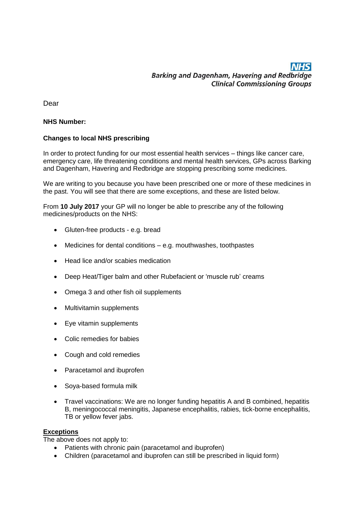# **NHS** Barking and Dagenham, Havering and Redbridge **Clinical Commissioning Groups**

Dear

### **NHS Number:**

## **Changes to local NHS prescribing**

In order to protect funding for our most essential health services – things like cancer care, emergency care, life threatening conditions and mental health services, GPs across Barking and Dagenham, Havering and Redbridge are stopping prescribing some medicines.

We are writing to you because you have been prescribed one or more of these medicines in the past. You will see that there are some exceptions, and these are listed below.

From **10 July 2017** your GP will no longer be able to prescribe any of the following medicines/products on the NHS:

- Gluten-free products e.g. bread
- Medicines for dental conditions e.g. mouthwashes, toothpastes
- Head lice and/or scabies medication
- Deep Heat/Tiger balm and other Rubefacient or 'muscle rub' creams
- Omega 3 and other fish oil supplements
- Multivitamin supplements
- Eye vitamin supplements
- Colic remedies for babies
- Cough and cold remedies
- Paracetamol and ibuprofen
- Soya-based formula milk
- Travel vaccinations: We are no longer funding hepatitis A and B combined, hepatitis B, meningococcal meningitis, Japanese encephalitis, rabies, tick-borne encephalitis, TB or yellow fever jabs.

#### **Exceptions**

The above does not apply to:

- Patients with chronic pain (paracetamol and ibuprofen)
- Children (paracetamol and ibuprofen can still be prescribed in liquid form)